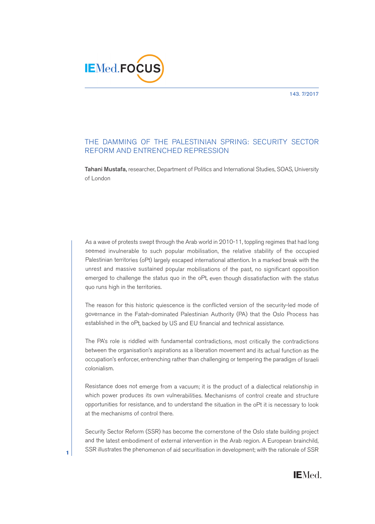143. 7/2017



## THE DAMMING OF THE PALESTINIAN SPRING: SECURITY SECTOR REFORM AND ENTRENCHED REPRESSION

**Tahani Mustafa,** researcher, Department of Politics and International Studies, SOAS, University of London

As <sup>a</sup> wave of protests swep<sup>t</sup> through the Arab world in 2010-11, toppling regimes that had long seemed invulnerable to such popular mobilisation, the relative stability of the occupied Palestinian territories (oPt) largely escape<sup>d</sup> international attention. In <sup>a</sup> marked break with the unrest and massive sustained popular mobilisations of the past, no significant opposition emerged to challenge the status quo in the oPt, even though dissatisfaction with the status quo runs high in the territories.

The reason for this historic quiescence is the conflicted version of the security-led mode of governance in the Fatah-dominated Palestinian Authority (PA) that the Oslo Process has established in the oPt, backed by US and EU financial and technical assistance.

The PA's role is riddled with fundamental contradictions, most critically the contradictions between the organisation's aspirations as a liberation movement and its actual function as the occupation's enforcer, entrenching rather than challenging or tempering the paradigm of Israeli colonialism.

Resistance does not emerge from <sup>a</sup> vacuum; it is the product of <sup>a</sup> dialectical relationship in which power produces its own vulnerabilities. Mechanisms of control create and structure opportunities for resistance, and to understand the situation in the oPt it is necessary to look at the mechanisms of control there.

Security Sector Reform (SSR) has become the cornerstone of the Oslo state building project and the latest embodiment of external intervention in the Arab region. A European brainchild, SSR illustrates the phenomenon of aid securitisation in development; with the rationale of SSR



**1**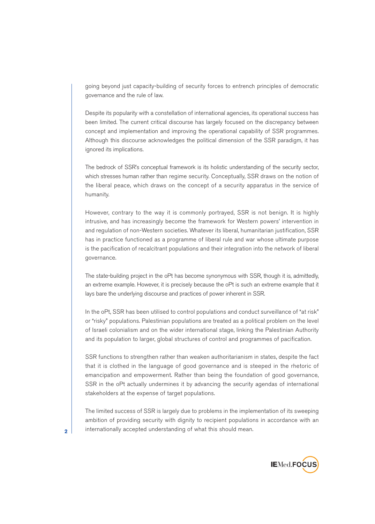going beyond just capacity-building of security forces to entrench principles of democratic governance and the rule of law.

Despite its popularity with a constellation of international agencies, its operational success has been limited. The current critical discourse has largely focused on the discrepancy between concept and implementation and improving the operational capability of SSR programmes. Although this discourse acknowledges the political dimension of the SSR paradigm, it has ignored its implications.

The bedrock of SSR's conceptual framework is its holistic understanding of the security sector, which stresses human rather than regime security. Conceptually, SSR draws on the notion of the liberal peace, which draws on the concept of a security apparatus in the service of humanity.

However, contrary to the way it is commonly portrayed, SSR is not benign. It is highly intrusive, and has increasingly become the framework for Western powers' intervention in and regulation of non-Western societies. Whatever its liberal, humanitarian justification, SSR has in practice functioned as a programme of liberal rule and war whose ultimate purpose is the pacification of recalcitrant populations and their integration into the network of liberal governance.

The state-building project in the oPt has become synonymous with SSR, though it is, admittedly, an extreme example. However, it is precisely because the oPt is such an extreme example that it lays bare the underlying discourse and practices of power inherent in SSR.

In the oPt, SSR has been utilised to control populations and conduct surveillance of "at risk" or "risky" populations. Palestinian populations are treated as a political problem on the level of Israeli colonialism and on the wider international stage, linking the Palestinian Authority and its population to larger, global structures of control and programmes of pacification.

SSR functions to strengthen rather than weaken authoritarianism in states, despite the fact that it is clothed in the language of good governance and is steeped in the rhetoric of emancipation and empowerment. Rather than being the foundation of good governance, SSR in the oPt actually undermines it by advancing the security agendas of international stakeholders at the expense of target populations.

The limited success of SSR is largely due to problems in the implementation of its sweeping ambition of providing security with dignity to recipient populations in accordance with an internationally accepted understanding of what this should mean.



**2**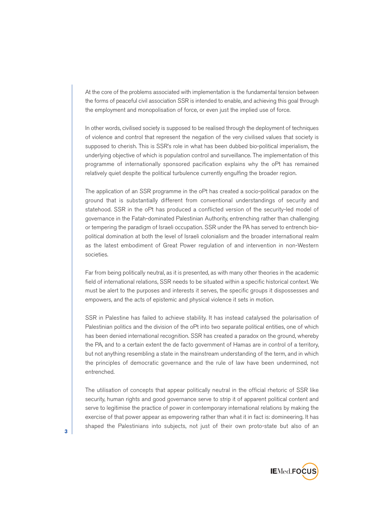At the core of the problems associated with implementation is the fundamental tension between the forms of peaceful civil association SSR is intended to enable, and achieving this goal through the employment and monopolisation of force, or even just the implied use of force.

In other words, civilised society is supposed to be realised through the deployment of techniques of violence and control that represent the negation of the very civilised values that society is supposed to cherish. This is SSR's role in what has been dubbed bio-political imperialism, the underlying objective of which is population control and surveillance. The implementation of this programme of internationally sponsored pacification explains why the oPt has remained relatively quiet despite the political turbulence currently engulfing the broader region.

The application of an SSR programme in the oPt has created a socio-political paradox on the ground that is substantially different from conventional understandings of security and statehood. SSR in the oPt has produced a conflicted version of the security-led model of governance in the Fatah-dominated Palestinian Authority, entrenching rather than challenging or tempering the paradigm of Israeli occupation. SSR under the PA has served to entrench biopolitical domination at both the level of Israeli colonialism and the broader international realm as the latest embodiment of Great Power regulation of and intervention in non-Western societies.

Far from being politically neutral, as it is presented, as with many other theories in the academic field of international relations, SSR needs to be situated within a specific historical context. We must be alert to the purposes and interests it serves, the specific groups it dispossesses and empowers, and the acts of epistemic and physical violence it sets in motion.

SSR in Palestine has failed to achieve stability. It has instead catalysed the polarisation of Palestinian politics and the division of the oPt into two separate political entities, one of which has been denied international recognition. SSR has created a paradox on the ground, whereby the PA, and to a certain extent the de facto government of Hamas are in control of a territory, but not anything resembling a state in the mainstream understanding of the term, and in which the principles of democratic governance and the rule of law have been undermined, not entrenched.

The utilisation of concepts that appear politically neutral in the official rhetoric of SSR like security, human rights and good governance serve to strip it of apparent political content and serve to legitimise the practice of power in contemporary international relations by making the exercise of that power appear as empowering rather than what it in fact is: domineering. It has shaped the Palestinians into subjects, not just of their own proto-state but also of an